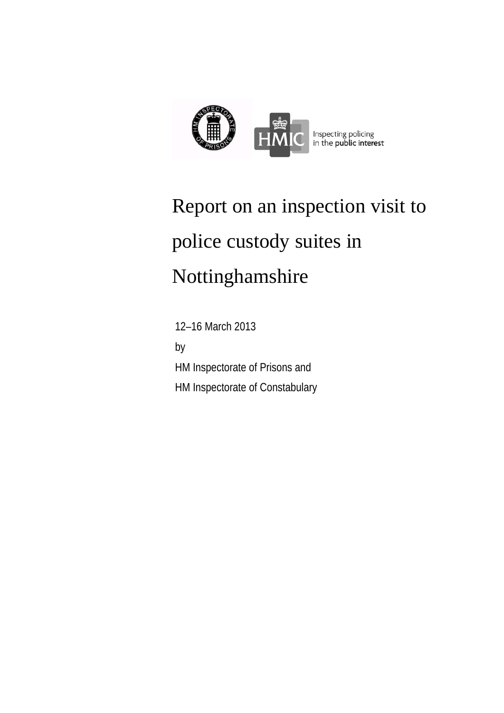

# Report on an inspection visit to police custody suites in Nottinghamshire

 12–16 March 2013 by HM Inspectorate of Prisons and HM Inspectorate of Constabulary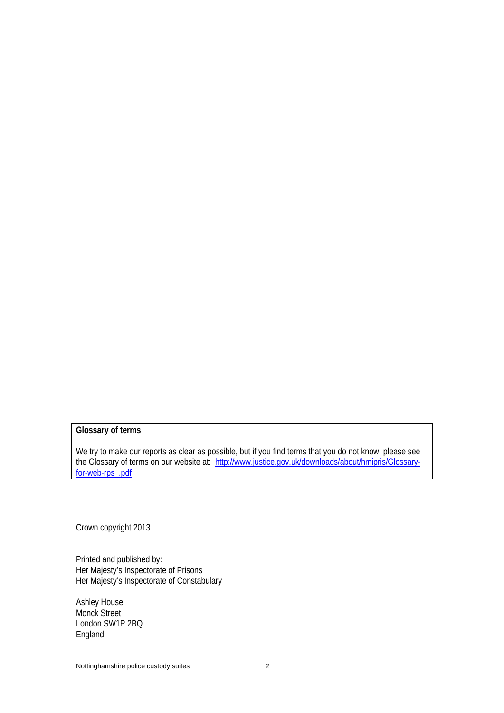#### **Glossary of terms**

We try to make our reports as clear as possible, but if you find terms that you do not know, please see the Glossary of terms on our website at: http://www.justice.gov.uk/downloads/about/hmipris/Glossaryfor-web-rps\_.pdf

Crown copyright 2013

Printed and published by: Her Majesty's Inspectorate of Prisons Her Majesty's Inspectorate of Constabulary

Ashley House Monck Street London SW1P 2BQ England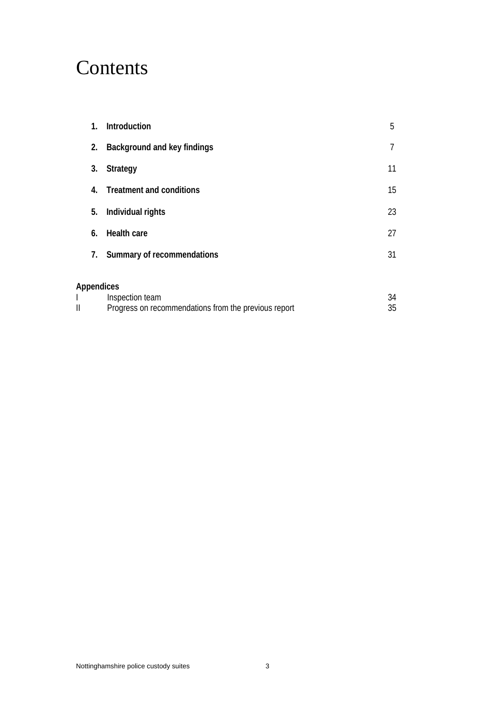## **Contents**

| 1.                | Introduction                                                            | 5        |
|-------------------|-------------------------------------------------------------------------|----------|
| 2.                | Background and key findings                                             | 7        |
| 3.                | <b>Strategy</b>                                                         | 11       |
| 4.                | <b>Treatment and conditions</b>                                         | 15       |
| 5.                | Individual rights                                                       | 23       |
| 6.                | <b>Health care</b>                                                      | 27       |
| 7.                | Summary of recommendations                                              | 31       |
| <b>Appendices</b> |                                                                         |          |
| II                | Inspection team<br>Progress on recommendations from the previous report | 34<br>35 |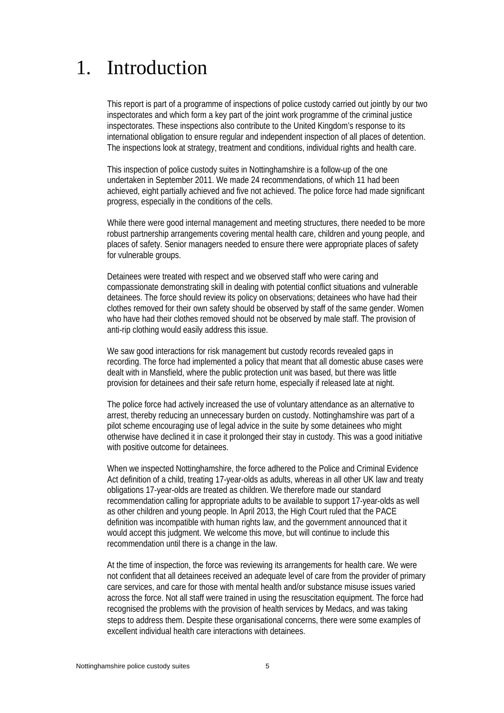## 1. Introduction

This report is part of a programme of inspections of police custody carried out jointly by our two inspectorates and which form a key part of the joint work programme of the criminal justice inspectorates. These inspections also contribute to the United Kingdom's response to its international obligation to ensure regular and independent inspection of all places of detention. The inspections look at strategy, treatment and conditions, individual rights and health care.

This inspection of police custody suites in Nottinghamshire is a follow-up of the one undertaken in September 2011. We made 24 recommendations, of which 11 had been achieved, eight partially achieved and five not achieved. The police force had made significant progress, especially in the conditions of the cells.

 While there were good internal management and meeting structures, there needed to be more robust partnership arrangements covering mental health care, children and young people, and places of safety. Senior managers needed to ensure there were appropriate places of safety for vulnerable groups.

 Detainees were treated with respect and we observed staff who were caring and compassionate demonstrating skill in dealing with potential conflict situations and vulnerable detainees. The force should review its policy on observations; detainees who have had their clothes removed for their own safety should be observed by staff of the same gender. Women who have had their clothes removed should not be observed by male staff. The provision of anti-rip clothing would easily address this issue.

We saw good interactions for risk management but custody records revealed gaps in recording. The force had implemented a policy that meant that all domestic abuse cases were dealt with in Mansfield, where the public protection unit was based, but there was little provision for detainees and their safe return home, especially if released late at night.

 The police force had actively increased the use of voluntary attendance as an alternative to arrest, thereby reducing an unnecessary burden on custody. Nottinghamshire was part of a pilot scheme encouraging use of legal advice in the suite by some detainees who might otherwise have declined it in case it prolonged their stay in custody. This was a good initiative with positive outcome for detainees.

 When we inspected Nottinghamshire, the force adhered to the Police and Criminal Evidence Act definition of a child, treating 17-year-olds as adults, whereas in all other UK law and treaty obligations 17-year-olds are treated as children. We therefore made our standard recommendation calling for appropriate adults to be available to support 17-year-olds as well as other children and young people. In April 2013, the High Court ruled that the PACE definition was incompatible with human rights law, and the government announced that it would accept this judgment. We welcome this move, but will continue to include this recommendation until there is a change in the law.

At the time of inspection, the force was reviewing its arrangements for health care. We were not confident that all detainees received an adequate level of care from the provider of primary care services, and care for those with mental health and/or substance misuse issues varied across the force. Not all staff were trained in using the resuscitation equipment. The force had recognised the problems with the provision of health services by Medacs, and was taking steps to address them. Despite these organisational concerns, there were some examples of excellent individual health care interactions with detainees.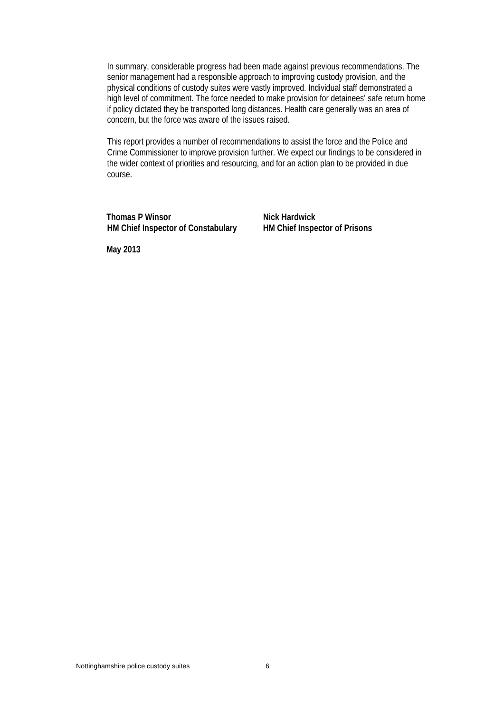In summary, considerable progress had been made against previous recommendations. The senior management had a responsible approach to improving custody provision, and the physical conditions of custody suites were vastly improved. Individual staff demonstrated a high level of commitment. The force needed to make provision for detainees' safe return home if policy dictated they be transported long distances. Health care generally was an area of concern, but the force was aware of the issues raised.

This report provides a number of recommendations to assist the force and the Police and Crime Commissioner to improve provision further. We expect our findings to be considered in the wider context of priorities and resourcing, and for an action plan to be provided in due course.

**Thomas P Winsor Nick Hardwick HM Chief Inspector of Constabulary HM Chief Inspector of Prisons** 

**May 2013**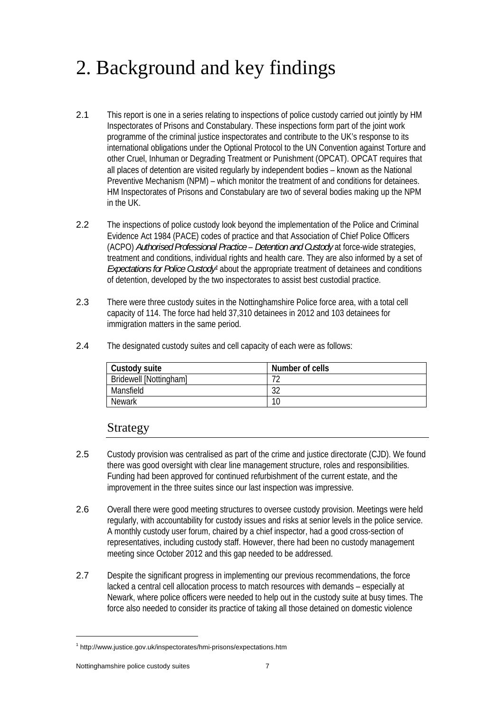## 2. Background and key findings

- 2.1 This report is one in a series relating to inspections of police custody carried out jointly by HM Inspectorates of Prisons and Constabulary. These inspections form part of the joint work programme of the criminal justice inspectorates and contribute to the UK's response to its international obligations under the Optional Protocol to the UN Convention against Torture and other Cruel, Inhuman or Degrading Treatment or Punishment (OPCAT). OPCAT requires that all places of detention are visited regularly by independent bodies – known as the National Preventive Mechanism (NPM) – which monitor the treatment of and conditions for detainees. HM Inspectorates of Prisons and Constabulary are two of several bodies making up the NPM in the UK.
- 2.2 The inspections of police custody look beyond the implementation of the Police and Criminal Evidence Act 1984 (PACE) codes of practice and that Association of Chief Police Officers (ACPO) *Authorised Professional Practice* – *Detention and Custody* at force-wide strategies, treatment and conditions, individual rights and health care. They are also informed by a set of *Expectations for Police Custody1* about the appropriate treatment of detainees and conditions of detention, developed by the two inspectorates to assist best custodial practice.
- 2.3 There were three custody suites in the Nottinghamshire Police force area, with a total cell capacity of 114. The force had held 37,310 detainees in 2012 and 103 detainees for immigration matters in the same period.
- 2.4 The designated custody suites and cell capacity of each were as follows:

| Custody suite                 | Number of cells |
|-------------------------------|-----------------|
| <b>Bridewell [Nottingham]</b> |                 |
| Mansfield                     | າາ<br>ے ت       |
| <b>Newark</b>                 | 10              |

### Strategy

- 2.5 Custody provision was centralised as part of the crime and justice directorate (CJD). We found there was good oversight with clear line management structure, roles and responsibilities. Funding had been approved for continued refurbishment of the current estate, and the improvement in the three suites since our last inspection was impressive.
- 2.6 Overall there were good meeting structures to oversee custody provision. Meetings were held regularly, with accountability for custody issues and risks at senior levels in the police service. A monthly custody user forum, chaired by a chief inspector, had a good cross-section of representatives, including custody staff. However, there had been no custody management meeting since October 2012 and this gap needed to be addressed.
- 2.7 Despite the significant progress in implementing our previous recommendations, the force lacked a central cell allocation process to match resources with demands – especially at Newark, where police officers were needed to help out in the custody suite at busy times. The force also needed to consider its practice of taking all those detained on domestic violence

 $\overline{a}$ 

<sup>&</sup>lt;sup>1</sup> http://www.justice.gov.uk/inspectorates/hmi-prisons/expectations.htm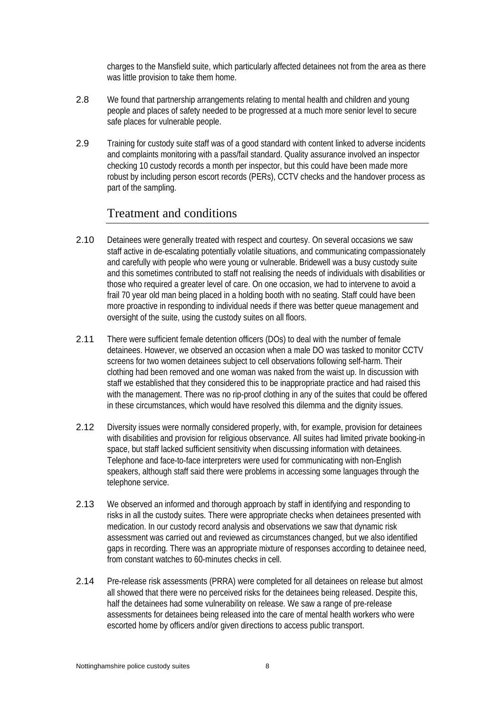charges to the Mansfield suite, which particularly affected detainees not from the area as there was little provision to take them home.

- 2.8 We found that partnership arrangements relating to mental health and children and young people and places of safety needed to be progressed at a much more senior level to secure safe places for vulnerable people.
- 2.9 Training for custody suite staff was of a good standard with content linked to adverse incidents and complaints monitoring with a pass/fail standard. Quality assurance involved an inspector checking 10 custody records a month per inspector, but this could have been made more robust by including person escort records (PERs), CCTV checks and the handover process as part of the sampling.

## Treatment and conditions

- 2.10 Detainees were generally treated with respect and courtesy. On several occasions we saw staff active in de-escalating potentially volatile situations, and communicating compassionately and carefully with people who were young or vulnerable. Bridewell was a busy custody suite and this sometimes contributed to staff not realising the needs of individuals with disabilities or those who required a greater level of care. On one occasion, we had to intervene to avoid a frail 70 year old man being placed in a holding booth with no seating. Staff could have been more proactive in responding to individual needs if there was better queue management and oversight of the suite, using the custody suites on all floors.
- 2.11 There were sufficient female detention officers (DOs) to deal with the number of female detainees. However, we observed an occasion when a male DO was tasked to monitor CCTV screens for two women detainees subject to cell observations following self-harm. Their clothing had been removed and one woman was naked from the waist up. In discussion with staff we established that they considered this to be inappropriate practice and had raised this with the management. There was no rip-proof clothing in any of the suites that could be offered in these circumstances, which would have resolved this dilemma and the dignity issues.
- 2.12 Diversity issues were normally considered properly, with, for example, provision for detainees with disabilities and provision for religious observance. All suites had limited private booking-in space, but staff lacked sufficient sensitivity when discussing information with detainees. Telephone and face-to-face interpreters were used for communicating with non-English speakers, although staff said there were problems in accessing some languages through the telephone service.
- 2.13 We observed an informed and thorough approach by staff in identifying and responding to risks in all the custody suites. There were appropriate checks when detainees presented with medication. In our custody record analysis and observations we saw that dynamic risk assessment was carried out and reviewed as circumstances changed, but we also identified gaps in recording. There was an appropriate mixture of responses according to detainee need, from constant watches to 60-minutes checks in cell.
- 2.14 Pre-release risk assessments (PRRA) were completed for all detainees on release but almost all showed that there were no perceived risks for the detainees being released. Despite this, half the detainees had some vulnerability on release. We saw a range of pre-release assessments for detainees being released into the care of mental health workers who were escorted home by officers and/or given directions to access public transport.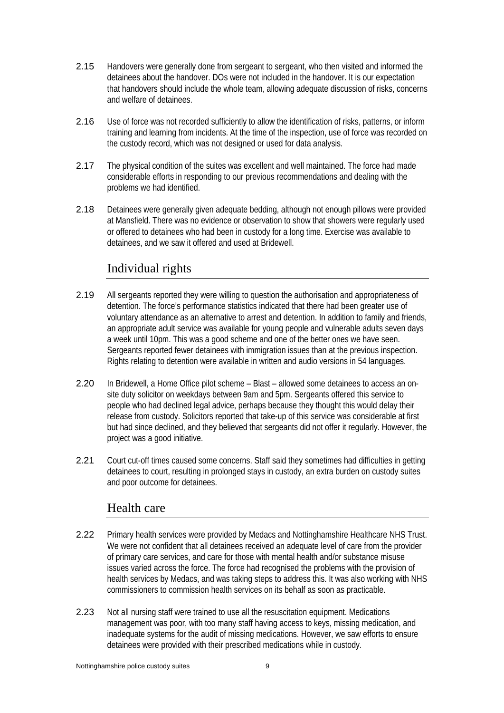- 2.15 Handovers were generally done from sergeant to sergeant, who then visited and informed the detainees about the handover. DOs were not included in the handover. It is our expectation that handovers should include the whole team, allowing adequate discussion of risks, concerns and welfare of detainees.
- 2.16 Use of force was not recorded sufficiently to allow the identification of risks, patterns, or inform training and learning from incidents. At the time of the inspection, use of force was recorded on the custody record, which was not designed or used for data analysis.
- 2.17 The physical condition of the suites was excellent and well maintained. The force had made considerable efforts in responding to our previous recommendations and dealing with the problems we had identified.
- 2.18 Detainees were generally given adequate bedding, although not enough pillows were provided at Mansfield. There was no evidence or observation to show that showers were regularly used or offered to detainees who had been in custody for a long time. Exercise was available to detainees, and we saw it offered and used at Bridewell.

## Individual rights

- 2.19 All sergeants reported they were willing to question the authorisation and appropriateness of detention. The force's performance statistics indicated that there had been greater use of voluntary attendance as an alternative to arrest and detention. In addition to family and friends, an appropriate adult service was available for young people and vulnerable adults seven days a week until 10pm. This was a good scheme and one of the better ones we have seen. Sergeants reported fewer detainees with immigration issues than at the previous inspection. Rights relating to detention were available in written and audio versions in 54 languages.
- 2.20 In Bridewell, a Home Office pilot scheme Blast allowed some detainees to access an onsite duty solicitor on weekdays between 9am and 5pm. Sergeants offered this service to people who had declined legal advice, perhaps because they thought this would delay their release from custody. Solicitors reported that take-up of this service was considerable at first but had since declined, and they believed that sergeants did not offer it regularly. However, the project was a good initiative.
- 2.21 Court cut-off times caused some concerns. Staff said they sometimes had difficulties in getting detainees to court, resulting in prolonged stays in custody, an extra burden on custody suites and poor outcome for detainees.

## Health care

- 2.22 Primary health services were provided by Medacs and Nottinghamshire Healthcare NHS Trust. We were not confident that all detainees received an adequate level of care from the provider of primary care services, and care for those with mental health and/or substance misuse issues varied across the force. The force had recognised the problems with the provision of health services by Medacs, and was taking steps to address this. It was also working with NHS commissioners to commission health services on its behalf as soon as practicable.
- 2.23 Not all nursing staff were trained to use all the resuscitation equipment. Medications management was poor, with too many staff having access to keys, missing medication, and inadequate systems for the audit of missing medications. However, we saw efforts to ensure detainees were provided with their prescribed medications while in custody.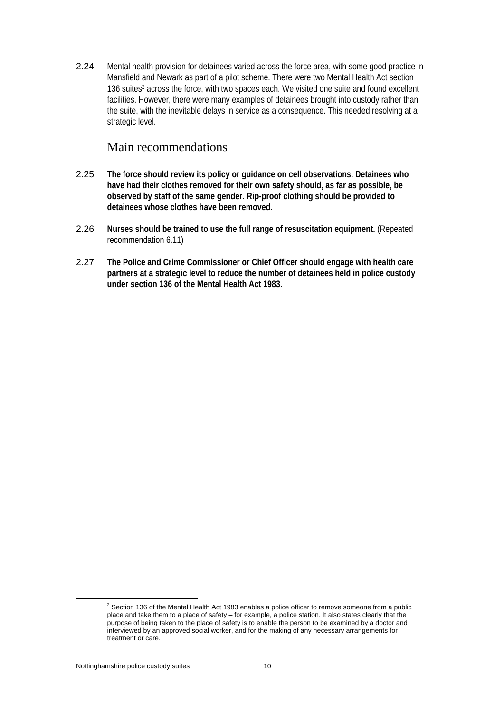2.24 Mental health provision for detainees varied across the force area, with some good practice in Mansfield and Newark as part of a pilot scheme. There were two Mental Health Act section 136 suites<sup>2</sup> across the force, with two spaces each. We visited one suite and found excellent facilities. However, there were many examples of detainees brought into custody rather than the suite, with the inevitable delays in service as a consequence. This needed resolving at a strategic level.

## Main recommendations

- 2.25 **The force should review its policy or guidance on cell observations. Detainees who have had their clothes removed for their own safety should, as far as possible, be observed by staff of the same gender. Rip-proof clothing should be provided to detainees whose clothes have been removed.**
- 2.26 **Nurses should be trained to use the full range of resuscitation equipment.** (Repeated recommendation 6.11)
- 2.27 **The Police and Crime Commissioner or Chief Officer should engage with health care partners at a strategic level to reduce the number of detainees held in police custody under section 136 of the Mental Health Act 1983.**

<sup>2</sup>  $2$  Section 136 of the Mental Health Act 1983 enables a police officer to remove someone from a public place and take them to a place of safety – for example, a police station. It also states clearly that the purpose of being taken to the place of safety is to enable the person to be examined by a doctor and interviewed by an approved social worker, and for the making of any necessary arrangements for treatment or care.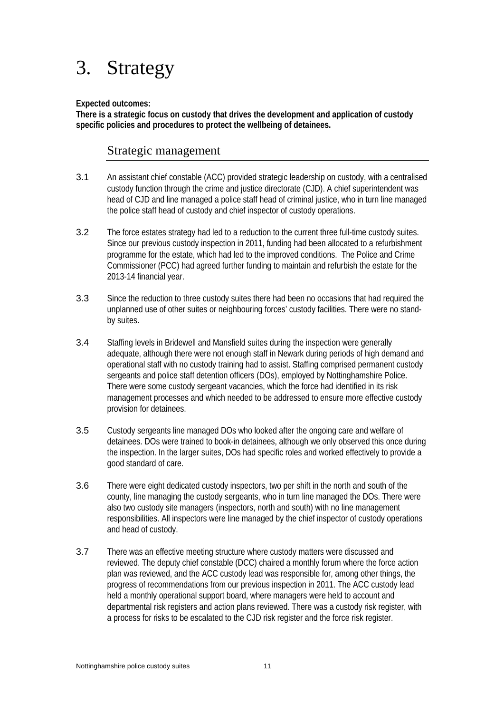## 3. Strategy

#### **Expected outcomes:**

**There is a strategic focus on custody that drives the development and application of custody specific policies and procedures to protect the wellbeing of detainees.** 

## Strategic management

- 3.1 An assistant chief constable (ACC) provided strategic leadership on custody, with a centralised custody function through the crime and justice directorate (CJD). A chief superintendent was head of CJD and line managed a police staff head of criminal justice, who in turn line managed the police staff head of custody and chief inspector of custody operations.
- 3.2 The force estates strategy had led to a reduction to the current three full-time custody suites. Since our previous custody inspection in 2011, funding had been allocated to a refurbishment programme for the estate, which had led to the improved conditions. The Police and Crime Commissioner (PCC) had agreed further funding to maintain and refurbish the estate for the 2013-14 financial year.
- 3.3 Since the reduction to three custody suites there had been no occasions that had required the unplanned use of other suites or neighbouring forces' custody facilities. There were no standby suites.
- 3.4 Staffing levels in Bridewell and Mansfield suites during the inspection were generally adequate, although there were not enough staff in Newark during periods of high demand and operational staff with no custody training had to assist. Staffing comprised permanent custody sergeants and police staff detention officers (DOs), employed by Nottinghamshire Police. There were some custody sergeant vacancies, which the force had identified in its risk management processes and which needed to be addressed to ensure more effective custody provision for detainees.
- 3.5 Custody sergeants line managed DOs who looked after the ongoing care and welfare of detainees. DOs were trained to book-in detainees, although we only observed this once during the inspection. In the larger suites, DOs had specific roles and worked effectively to provide a good standard of care.
- 3.6 There were eight dedicated custody inspectors, two per shift in the north and south of the county, line managing the custody sergeants, who in turn line managed the DOs. There were also two custody site managers (inspectors, north and south) with no line management responsibilities. All inspectors were line managed by the chief inspector of custody operations and head of custody.
- 3.7 There was an effective meeting structure where custody matters were discussed and reviewed. The deputy chief constable (DCC) chaired a monthly forum where the force action plan was reviewed, and the ACC custody lead was responsible for, among other things, the progress of recommendations from our previous inspection in 2011. The ACC custody lead held a monthly operational support board, where managers were held to account and departmental risk registers and action plans reviewed. There was a custody risk register, with a process for risks to be escalated to the CJD risk register and the force risk register.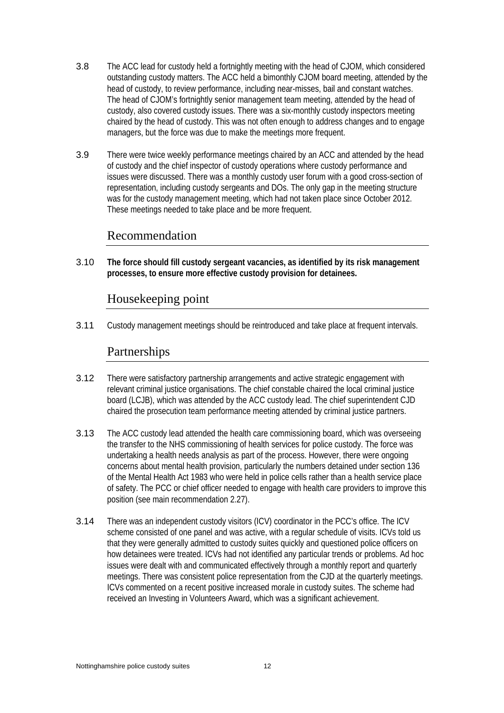- 3.8 The ACC lead for custody held a fortnightly meeting with the head of CJOM, which considered outstanding custody matters. The ACC held a bimonthly CJOM board meeting, attended by the head of custody, to review performance, including near-misses, bail and constant watches. The head of CJOM's fortnightly senior management team meeting, attended by the head of custody, also covered custody issues. There was a six-monthly custody inspectors meeting chaired by the head of custody. This was not often enough to address changes and to engage managers, but the force was due to make the meetings more frequent.
- 3.9 There were twice weekly performance meetings chaired by an ACC and attended by the head of custody and the chief inspector of custody operations where custody performance and issues were discussed. There was a monthly custody user forum with a good cross-section of representation, including custody sergeants and DOs. The only gap in the meeting structure was for the custody management meeting, which had not taken place since October 2012. These meetings needed to take place and be more frequent.

## Recommendation

3.10 **The force should fill custody sergeant vacancies, as identified by its risk management processes, to ensure more effective custody provision for detainees.** 

## Housekeeping point

3.11 Custody management meetings should be reintroduced and take place at frequent intervals.

## Partnerships

- 3.12 There were satisfactory partnership arrangements and active strategic engagement with relevant criminal justice organisations. The chief constable chaired the local criminal justice board (LCJB), which was attended by the ACC custody lead. The chief superintendent CJD chaired the prosecution team performance meeting attended by criminal justice partners.
- 3.13 The ACC custody lead attended the health care commissioning board, which was overseeing the transfer to the NHS commissioning of health services for police custody. The force was undertaking a health needs analysis as part of the process. However, there were ongoing concerns about mental health provision, particularly the numbers detained under section 136 of the Mental Health Act 1983 who were held in police cells rather than a health service place of safety. The PCC or chief officer needed to engage with health care providers to improve this position (see main recommendation 2.27).
- 3.14 There was an independent custody visitors (ICV) coordinator in the PCC's office. The ICV scheme consisted of one panel and was active, with a regular schedule of visits. ICVs told us that they were generally admitted to custody suites quickly and questioned police officers on how detainees were treated. ICVs had not identified any particular trends or problems. Ad hoc issues were dealt with and communicated effectively through a monthly report and quarterly meetings. There was consistent police representation from the CJD at the quarterly meetings. ICVs commented on a recent positive increased morale in custody suites. The scheme had received an Investing in Volunteers Award, which was a significant achievement.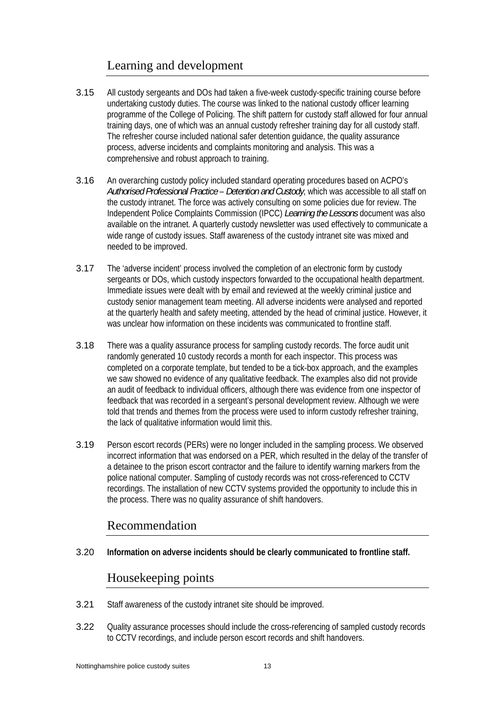## Learning and development

- 3.15 All custody sergeants and DOs had taken a five-week custody-specific training course before undertaking custody duties. The course was linked to the national custody officer learning programme of the College of Policing. The shift pattern for custody staff allowed for four annual training days, one of which was an annual custody refresher training day for all custody staff. The refresher course included national safer detention guidance, the quality assurance process, adverse incidents and complaints monitoring and analysis. This was a comprehensive and robust approach to training.
- 3.16 An overarching custody policy included standard operating procedures based on ACPO's *Authorised Professional Practice* – *Detention and Custody*, which was accessible to all staff on the custody intranet. The force was actively consulting on some policies due for review. The Independent Police Complaints Commission (IPCC) *Learning the Lessons* document was also available on the intranet. A quarterly custody newsletter was used effectively to communicate a wide range of custody issues. Staff awareness of the custody intranet site was mixed and needed to be improved.
- 3.17 The 'adverse incident' process involved the completion of an electronic form by custody sergeants or DOs, which custody inspectors forwarded to the occupational health department. Immediate issues were dealt with by email and reviewed at the weekly criminal justice and custody senior management team meeting. All adverse incidents were analysed and reported at the quarterly health and safety meeting, attended by the head of criminal justice. However, it was unclear how information on these incidents was communicated to frontline staff.
- 3.18 There was a quality assurance process for sampling custody records. The force audit unit randomly generated 10 custody records a month for each inspector. This process was completed on a corporate template, but tended to be a tick-box approach, and the examples we saw showed no evidence of any qualitative feedback. The examples also did not provide an audit of feedback to individual officers, although there was evidence from one inspector of feedback that was recorded in a sergeant's personal development review. Although we were told that trends and themes from the process were used to inform custody refresher training, the lack of qualitative information would limit this.
- 3.19 Person escort records (PERs) were no longer included in the sampling process. We observed incorrect information that was endorsed on a PER, which resulted in the delay of the transfer of a detainee to the prison escort contractor and the failure to identify warning markers from the police national computer. Sampling of custody records was not cross-referenced to CCTV recordings. The installation of new CCTV systems provided the opportunity to include this in the process. There was no quality assurance of shift handovers.

## Recommendation

3.20 **Information on adverse incidents should be clearly communicated to frontline staff.** 

## Housekeeping points

- 3.21 Staff awareness of the custody intranet site should be improved.
- 3.22 Quality assurance processes should include the cross-referencing of sampled custody records to CCTV recordings, and include person escort records and shift handovers.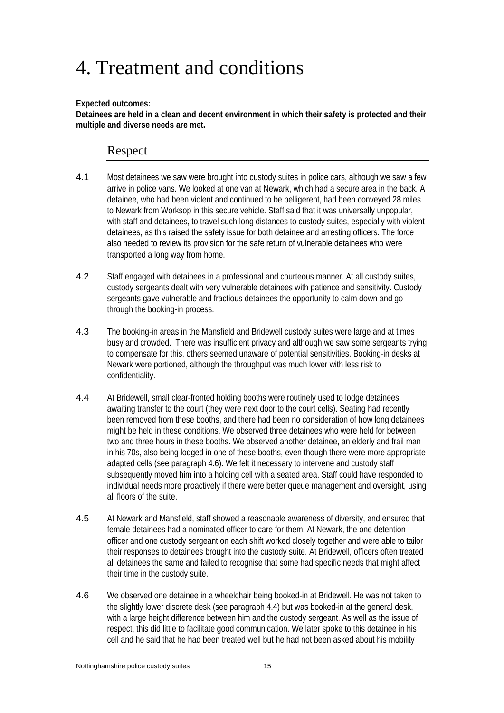## 4. Treatment and conditions

#### **Expected outcomes:**

**Detainees are held in a clean and decent environment in which their safety is protected and their multiple and diverse needs are met.** 

## Respect

- 4.1 Most detainees we saw were brought into custody suites in police cars, although we saw a few arrive in police vans. We looked at one van at Newark, which had a secure area in the back. A detainee, who had been violent and continued to be belligerent, had been conveyed 28 miles to Newark from Worksop in this secure vehicle. Staff said that it was universally unpopular, with staff and detainees, to travel such long distances to custody suites, especially with violent detainees, as this raised the safety issue for both detainee and arresting officers. The force also needed to review its provision for the safe return of vulnerable detainees who were transported a long way from home.
- 4.2 Staff engaged with detainees in a professional and courteous manner. At all custody suites, custody sergeants dealt with very vulnerable detainees with patience and sensitivity. Custody sergeants gave vulnerable and fractious detainees the opportunity to calm down and go through the booking-in process.
- 4.3 The booking-in areas in the Mansfield and Bridewell custody suites were large and at times busy and crowded. There was insufficient privacy and although we saw some sergeants trying to compensate for this, others seemed unaware of potential sensitivities. Booking-in desks at Newark were portioned, although the throughput was much lower with less risk to confidentiality.
- 4.4 At Bridewell, small clear-fronted holding booths were routinely used to lodge detainees awaiting transfer to the court (they were next door to the court cells). Seating had recently been removed from these booths, and there had been no consideration of how long detainees might be held in these conditions. We observed three detainees who were held for between two and three hours in these booths. We observed another detainee, an elderly and frail man in his 70s, also being lodged in one of these booths, even though there were more appropriate adapted cells (see paragraph 4.6). We felt it necessary to intervene and custody staff subsequently moved him into a holding cell with a seated area. Staff could have responded to individual needs more proactively if there were better queue management and oversight, using all floors of the suite.
- 4.5 At Newark and Mansfield, staff showed a reasonable awareness of diversity, and ensured that female detainees had a nominated officer to care for them. At Newark, the one detention officer and one custody sergeant on each shift worked closely together and were able to tailor their responses to detainees brought into the custody suite. At Bridewell, officers often treated all detainees the same and failed to recognise that some had specific needs that might affect their time in the custody suite.
- 4.6 We observed one detainee in a wheelchair being booked-in at Bridewell. He was not taken to the slightly lower discrete desk (see paragraph 4.4) but was booked-in at the general desk, with a large height difference between him and the custody sergeant. As well as the issue of respect, this did little to facilitate good communication. We later spoke to this detainee in his cell and he said that he had been treated well but he had not been asked about his mobility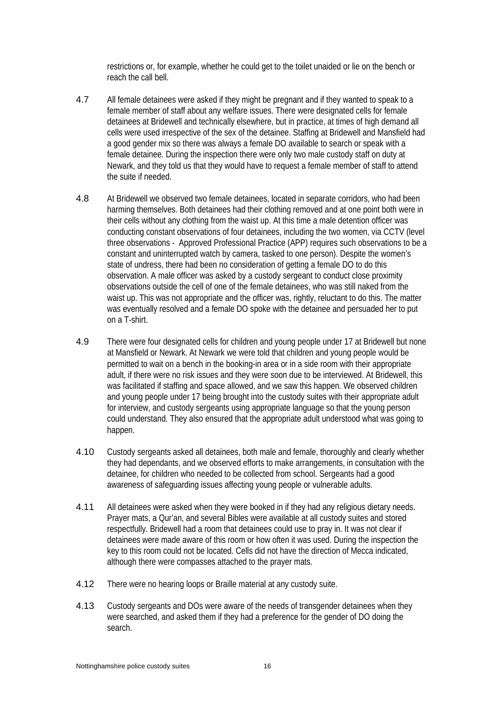restrictions or, for example, whether he could get to the toilet unaided or lie on the bench or reach the call bell.

- 4.7 All female detainees were asked if they might be pregnant and if they wanted to speak to a female member of staff about any welfare issues. There were designated cells for female detainees at Bridewell and technically elsewhere, but in practice, at times of high demand all cells were used irrespective of the sex of the detainee. Staffing at Bridewell and Mansfield had a good gender mix so there was always a female DO available to search or speak with a female detainee. During the inspection there were only two male custody staff on duty at Newark, and they told us that they would have to request a female member of staff to attend the suite if needed.
- 4.8 At Bridewell we observed two female detainees, located in separate corridors, who had been harming themselves. Both detainees had their clothing removed and at one point both were in their cells without any clothing from the waist up. At this time a male detention officer was conducting constant observations of four detainees, including the two women, via CCTV (level three observations - Approved Professional Practice (APP) requires such observations to be a constant and uninterrupted watch by camera, tasked to one person). Despite the women's state of undress, there had been no consideration of getting a female DO to do this observation. A male officer was asked by a custody sergeant to conduct close proximity observations outside the cell of one of the female detainees, who was still naked from the waist up. This was not appropriate and the officer was, rightly, reluctant to do this. The matter was eventually resolved and a female DO spoke with the detainee and persuaded her to put on a T-shirt.
- 4.9 There were four designated cells for children and young people under 17 at Bridewell but none at Mansfield or Newark. At Newark we were told that children and young people would be permitted to wait on a bench in the booking-in area or in a side room with their appropriate adult, if there were no risk issues and they were soon due to be interviewed. At Bridewell, this was facilitated if staffing and space allowed, and we saw this happen. We observed children and young people under 17 being brought into the custody suites with their appropriate adult for interview, and custody sergeants using appropriate language so that the young person could understand. They also ensured that the appropriate adult understood what was going to happen.
- 4.10 Custody sergeants asked all detainees, both male and female, thoroughly and clearly whether they had dependants, and we observed efforts to make arrangements, in consultation with the detainee, for children who needed to be collected from school. Sergeants had a good awareness of safeguarding issues affecting young people or vulnerable adults.
- 4.11 All detainees were asked when they were booked in if they had any religious dietary needs. Prayer mats, a Qur'an, and several Bibles were available at all custody suites and stored respectfully. Bridewell had a room that detainees could use to pray in. It was not clear if detainees were made aware of this room or how often it was used. During the inspection the key to this room could not be located. Cells did not have the direction of Mecca indicated, although there were compasses attached to the prayer mats.
- 4.12 There were no hearing loops or Braille material at any custody suite.
- 4.13 Custody sergeants and DOs were aware of the needs of transgender detainees when they were searched, and asked them if they had a preference for the gender of DO doing the search.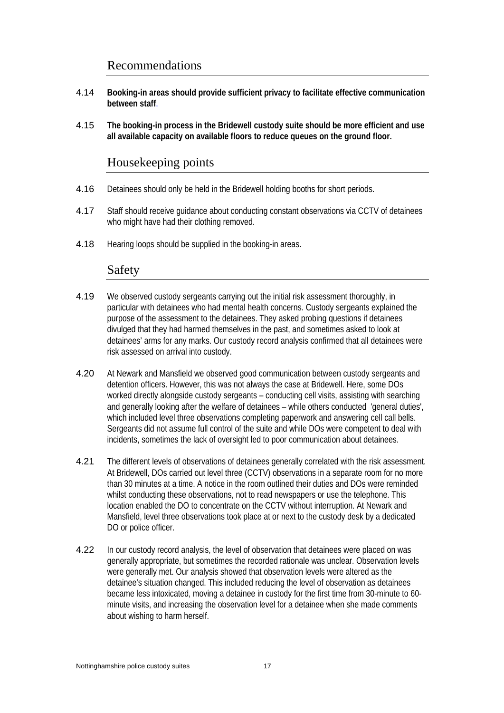## Recommendations

- 4.14 **Booking-in areas should provide sufficient privacy to facilitate effective communication between staff**.
- 4.15 **The booking-in process in the Bridewell custody suite should be more efficient and use all available capacity on available floors to reduce queues on the ground floor.**

## Housekeeping points

- 4.16 Detainees should only be held in the Bridewell holding booths for short periods.
- 4.17 Staff should receive guidance about conducting constant observations via CCTV of detainees who might have had their clothing removed.
- 4.18 Hearing loops should be supplied in the booking-in areas.

### Safety

- 4.19 We observed custody sergeants carrying out the initial risk assessment thoroughly, in particular with detainees who had mental health concerns. Custody sergeants explained the purpose of the assessment to the detainees. They asked probing questions if detainees divulged that they had harmed themselves in the past, and sometimes asked to look at detainees' arms for any marks. Our custody record analysis confirmed that all detainees were risk assessed on arrival into custody.
- 4.20 At Newark and Mansfield we observed good communication between custody sergeants and detention officers. However, this was not always the case at Bridewell. Here, some DOs worked directly alongside custody sergeants – conducting cell visits, assisting with searching and generally looking after the welfare of detainees – while others conducted 'general duties', which included level three observations completing paperwork and answering cell call bells. Sergeants did not assume full control of the suite and while DOs were competent to deal with incidents, sometimes the lack of oversight led to poor communication about detainees.
- 4.21 The different levels of observations of detainees generally correlated with the risk assessment. At Bridewell, DOs carried out level three (CCTV) observations in a separate room for no more than 30 minutes at a time. A notice in the room outlined their duties and DOs were reminded whilst conducting these observations, not to read newspapers or use the telephone. This location enabled the DO to concentrate on the CCTV without interruption. At Newark and Mansfield, level three observations took place at or next to the custody desk by a dedicated DO or police officer.
- 4.22 In our custody record analysis, the level of observation that detainees were placed on was generally appropriate, but sometimes the recorded rationale was unclear. Observation levels were generally met. Our analysis showed that observation levels were altered as the detainee's situation changed. This included reducing the level of observation as detainees became less intoxicated, moving a detainee in custody for the first time from 30-minute to 60 minute visits, and increasing the observation level for a detainee when she made comments about wishing to harm herself.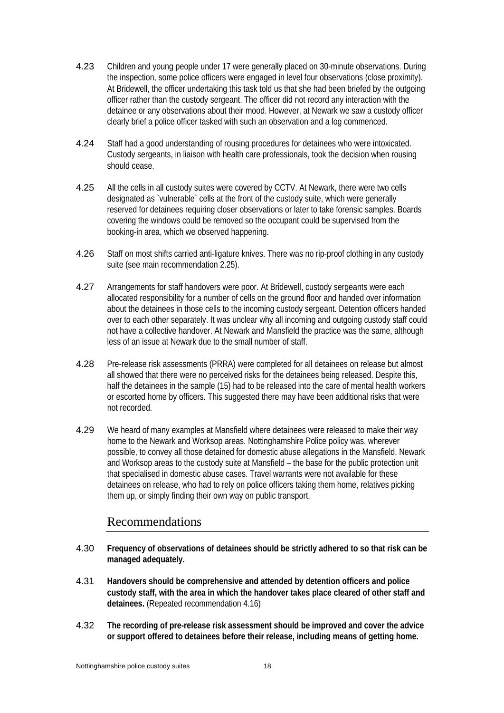- 4.23 Children and young people under 17 were generally placed on 30-minute observations. During the inspection, some police officers were engaged in level four observations (close proximity). At Bridewell, the officer undertaking this task told us that she had been briefed by the outgoing officer rather than the custody sergeant. The officer did not record any interaction with the detainee or any observations about their mood. However, at Newark we saw a custody officer clearly brief a police officer tasked with such an observation and a log commenced.
- 4.24 Staff had a good understanding of rousing procedures for detainees who were intoxicated. Custody sergeants, in liaison with health care professionals, took the decision when rousing should cease.
- 4.25 All the cells in all custody suites were covered by CCTV. At Newark, there were two cells designated as `vulnerable` cells at the front of the custody suite, which were generally reserved for detainees requiring closer observations or later to take forensic samples. Boards covering the windows could be removed so the occupant could be supervised from the booking-in area, which we observed happening.
- 4.26 Staff on most shifts carried anti-ligature knives. There was no rip-proof clothing in any custody suite (see main recommendation 2.25).
- 4.27 Arrangements for staff handovers were poor. At Bridewell, custody sergeants were each allocated responsibility for a number of cells on the ground floor and handed over information about the detainees in those cells to the incoming custody sergeant. Detention officers handed over to each other separately. It was unclear why all incoming and outgoing custody staff could not have a collective handover. At Newark and Mansfield the practice was the same, although less of an issue at Newark due to the small number of staff.
- 4.28 Pre-release risk assessments (PRRA) were completed for all detainees on release but almost all showed that there were no perceived risks for the detainees being released. Despite this, half the detainees in the sample (15) had to be released into the care of mental health workers or escorted home by officers. This suggested there may have been additional risks that were not recorded.
- 4.29 We heard of many examples at Mansfield where detainees were released to make their way home to the Newark and Worksop areas. Nottinghamshire Police policy was, wherever possible, to convey all those detained for domestic abuse allegations in the Mansfield, Newark and Worksop areas to the custody suite at Mansfield – the base for the public protection unit that specialised in domestic abuse cases. Travel warrants were not available for these detainees on release, who had to rely on police officers taking them home, relatives picking them up, or simply finding their own way on public transport.

## Recommendations

- 4.30 **Frequency of observations of detainees should be strictly adhered to so that risk can be managed adequately.**
- 4.31 **Handovers should be comprehensive and attended by detention officers and police custody staff, with the area in which the handover takes place cleared of other staff and detainees.** (Repeated recommendation 4.16)
- 4.32 **The recording of pre-release risk assessment should be improved and cover the advice or support offered to detainees before their release, including means of getting home.**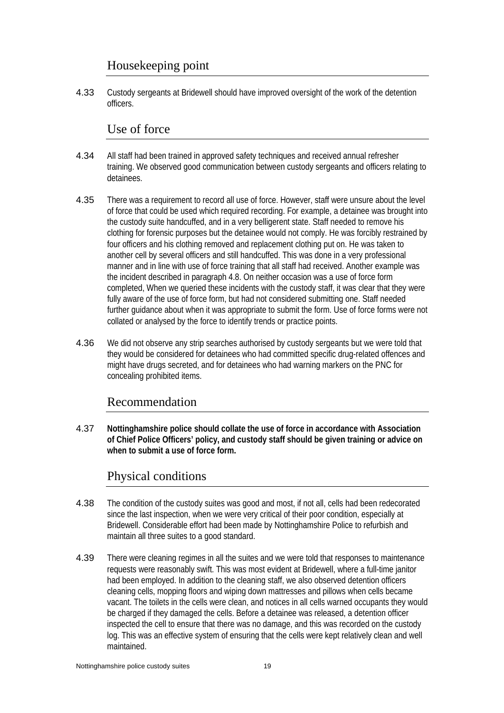## Housekeeping point

4.33 Custody sergeants at Bridewell should have improved oversight of the work of the detention officers.

### Use of force

- 4.34 All staff had been trained in approved safety techniques and received annual refresher training. We observed good communication between custody sergeants and officers relating to detainees.
- 4.35 There was a requirement to record all use of force. However, staff were unsure about the level of force that could be used which required recording. For example, a detainee was brought into the custody suite handcuffed, and in a very belligerent state. Staff needed to remove his clothing for forensic purposes but the detainee would not comply. He was forcibly restrained by four officers and his clothing removed and replacement clothing put on. He was taken to another cell by several officers and still handcuffed. This was done in a very professional manner and in line with use of force training that all staff had received. Another example was the incident described in paragraph 4.8. On neither occasion was a use of force form completed, When we queried these incidents with the custody staff, it was clear that they were fully aware of the use of force form, but had not considered submitting one. Staff needed further guidance about when it was appropriate to submit the form. Use of force forms were not collated or analysed by the force to identify trends or practice points.
- 4.36 We did not observe any strip searches authorised by custody sergeants but we were told that they would be considered for detainees who had committed specific drug-related offences and might have drugs secreted, and for detainees who had warning markers on the PNC for concealing prohibited items.

## Recommendation

4.37 **Nottinghamshire police should collate the use of force in accordance with Association of Chief Police Officers' policy, and custody staff should be given training or advice on when to submit a use of force form.** 

## Physical conditions

- 4.38 The condition of the custody suites was good and most, if not all, cells had been redecorated since the last inspection, when we were very critical of their poor condition, especially at Bridewell. Considerable effort had been made by Nottinghamshire Police to refurbish and maintain all three suites to a good standard.
- 4.39 There were cleaning regimes in all the suites and we were told that responses to maintenance requests were reasonably swift. This was most evident at Bridewell, where a full-time janitor had been employed. In addition to the cleaning staff, we also observed detention officers cleaning cells, mopping floors and wiping down mattresses and pillows when cells became vacant. The toilets in the cells were clean, and notices in all cells warned occupants they would be charged if they damaged the cells. Before a detainee was released, a detention officer inspected the cell to ensure that there was no damage, and this was recorded on the custody log. This was an effective system of ensuring that the cells were kept relatively clean and well maintained.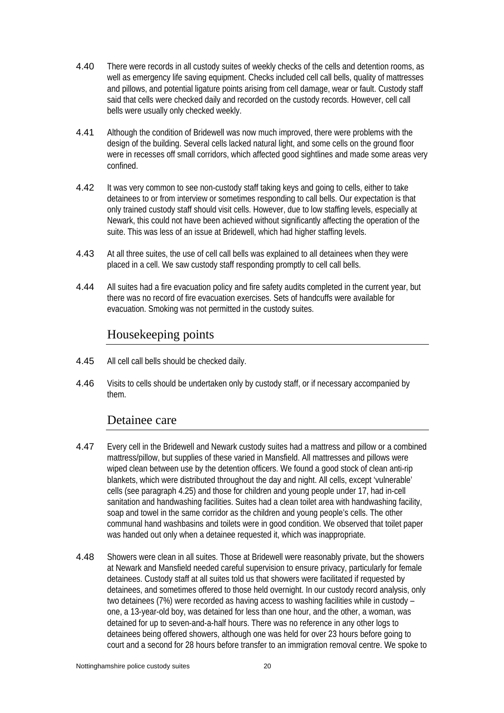- 4.40 There were records in all custody suites of weekly checks of the cells and detention rooms, as well as emergency life saving equipment. Checks included cell call bells, quality of mattresses and pillows, and potential ligature points arising from cell damage, wear or fault. Custody staff said that cells were checked daily and recorded on the custody records. However, cell call bells were usually only checked weekly.
- 4.41 Although the condition of Bridewell was now much improved, there were problems with the design of the building. Several cells lacked natural light, and some cells on the ground floor were in recesses off small corridors, which affected good sightlines and made some areas very confined.
- 4.42 It was very common to see non-custody staff taking keys and going to cells, either to take detainees to or from interview or sometimes responding to call bells. Our expectation is that only trained custody staff should visit cells. However, due to low staffing levels, especially at Newark, this could not have been achieved without significantly affecting the operation of the suite. This was less of an issue at Bridewell, which had higher staffing levels.
- 4.43 At all three suites, the use of cell call bells was explained to all detainees when they were placed in a cell. We saw custody staff responding promptly to cell call bells.
- 4.44 All suites had a fire evacuation policy and fire safety audits completed in the current year, but there was no record of fire evacuation exercises. Sets of handcuffs were available for evacuation. Smoking was not permitted in the custody suites.

## Housekeeping points

- 4.45 All cell call bells should be checked daily.
- 4.46 Visits to cells should be undertaken only by custody staff, or if necessary accompanied by them.

### Detainee care

- 4.47 Every cell in the Bridewell and Newark custody suites had a mattress and pillow or a combined mattress/pillow, but supplies of these varied in Mansfield. All mattresses and pillows were wiped clean between use by the detention officers. We found a good stock of clean anti-rip blankets, which were distributed throughout the day and night. All cells, except 'vulnerable' cells (see paragraph 4.25) and those for children and young people under 17, had in-cell sanitation and handwashing facilities. Suites had a clean toilet area with handwashing facility, soap and towel in the same corridor as the children and young people's cells. The other communal hand washbasins and toilets were in good condition. We observed that toilet paper was handed out only when a detainee requested it, which was inappropriate.
- 4.48 Showers were clean in all suites. Those at Bridewell were reasonably private, but the showers at Newark and Mansfield needed careful supervision to ensure privacy, particularly for female detainees. Custody staff at all suites told us that showers were facilitated if requested by detainees, and sometimes offered to those held overnight. In our custody record analysis, only two detainees (7%) were recorded as having access to washing facilities while in custody – one, a 13-year-old boy, was detained for less than one hour, and the other, a woman, was detained for up to seven-and-a-half hours. There was no reference in any other logs to detainees being offered showers, although one was held for over 23 hours before going to court and a second for 28 hours before transfer to an immigration removal centre. We spoke to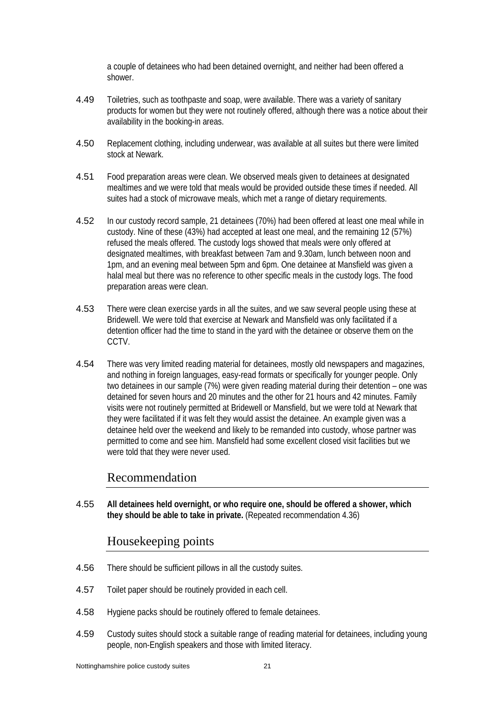a couple of detainees who had been detained overnight, and neither had been offered a shower.

- 4.49 Toiletries, such as toothpaste and soap, were available. There was a variety of sanitary products for women but they were not routinely offered, although there was a notice about their availability in the booking-in areas.
- 4.50 Replacement clothing, including underwear, was available at all suites but there were limited stock at Newark.
- 4.51 Food preparation areas were clean. We observed meals given to detainees at designated mealtimes and we were told that meals would be provided outside these times if needed. All suites had a stock of microwave meals, which met a range of dietary requirements.
- 4.52 In our custody record sample, 21 detainees (70%) had been offered at least one meal while in custody. Nine of these (43%) had accepted at least one meal, and the remaining 12 (57%) refused the meals offered. The custody logs showed that meals were only offered at designated mealtimes, with breakfast between 7am and 9.30am, lunch between noon and 1pm, and an evening meal between 5pm and 6pm. One detainee at Mansfield was given a halal meal but there was no reference to other specific meals in the custody logs. The food preparation areas were clean.
- 4.53 There were clean exercise yards in all the suites, and we saw several people using these at Bridewell. We were told that exercise at Newark and Mansfield was only facilitated if a detention officer had the time to stand in the yard with the detainee or observe them on the CCTV.
- 4.54 There was very limited reading material for detainees, mostly old newspapers and magazines, and nothing in foreign languages, easy-read formats or specifically for younger people. Only two detainees in our sample (7%) were given reading material during their detention – one was detained for seven hours and 20 minutes and the other for 21 hours and 42 minutes. Family visits were not routinely permitted at Bridewell or Mansfield, but we were told at Newark that they were facilitated if it was felt they would assist the detainee. An example given was a detainee held over the weekend and likely to be remanded into custody, whose partner was permitted to come and see him. Mansfield had some excellent closed visit facilities but we were told that they were never used.

### Recommendation

4.55 **All detainees held overnight, or who require one, should be offered a shower, which they should be able to take in private.** (Repeated recommendation 4.36)

## Housekeeping points

- 4.56 There should be sufficient pillows in all the custody suites.
- 4.57 Toilet paper should be routinely provided in each cell.
- 4.58 Hygiene packs should be routinely offered to female detainees.
- 4.59 Custody suites should stock a suitable range of reading material for detainees, including young people, non-English speakers and those with limited literacy.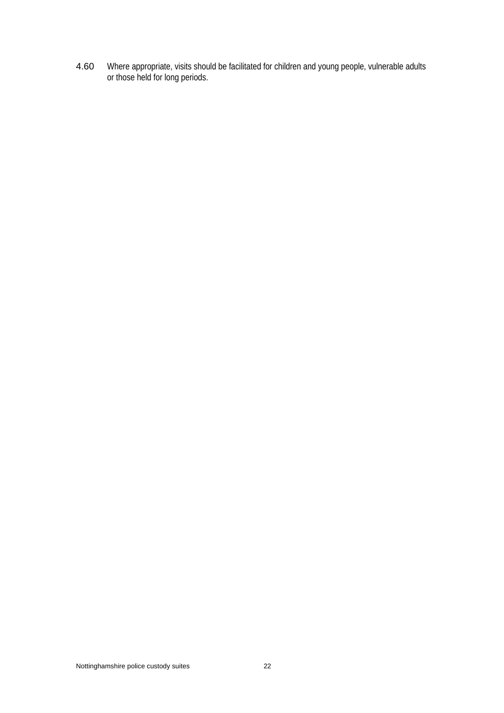4.60 Where appropriate, visits should be facilitated for children and young people, vulnerable adults or those held for long periods.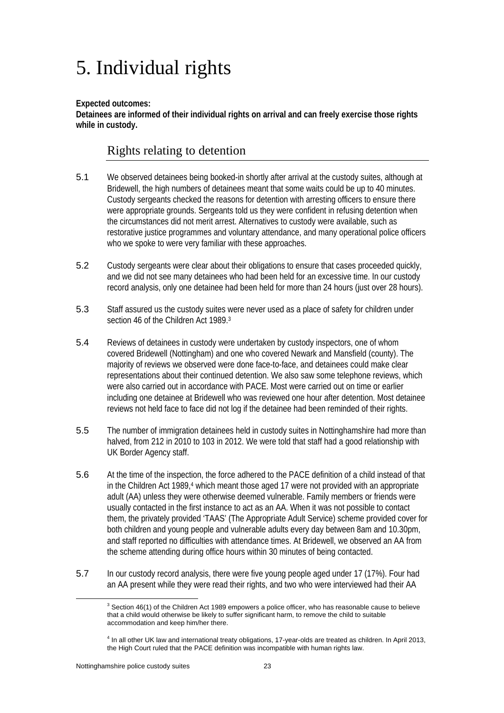## 5. Individual rights

#### **Expected outcomes:**

**Detainees are informed of their individual rights on arrival and can freely exercise those rights while in custody.** 

## Rights relating to detention

- 5.1 We observed detainees being booked-in shortly after arrival at the custody suites, although at Bridewell, the high numbers of detainees meant that some waits could be up to 40 minutes. Custody sergeants checked the reasons for detention with arresting officers to ensure there were appropriate grounds. Sergeants told us they were confident in refusing detention when the circumstances did not merit arrest. Alternatives to custody were available, such as restorative justice programmes and voluntary attendance, and many operational police officers who we spoke to were very familiar with these approaches.
- 5.2 Custody sergeants were clear about their obligations to ensure that cases proceeded quickly, and we did not see many detainees who had been held for an excessive time. In our custody record analysis, only one detainee had been held for more than 24 hours (just over 28 hours).
- 5.3 Staff assured us the custody suites were never used as a place of safety for children under section 46 of the Children Act 1989.<sup>3</sup>
- 5.4 Reviews of detainees in custody were undertaken by custody inspectors, one of whom covered Bridewell (Nottingham) and one who covered Newark and Mansfield (county). The majority of reviews we observed were done face-to-face, and detainees could make clear representations about their continued detention. We also saw some telephone reviews, which were also carried out in accordance with PACE. Most were carried out on time or earlier including one detainee at Bridewell who was reviewed one hour after detention. Most detainee reviews not held face to face did not log if the detainee had been reminded of their rights.
- 5.5 The number of immigration detainees held in custody suites in Nottinghamshire had more than halved, from 212 in 2010 to 103 in 2012. We were told that staff had a good relationship with UK Border Agency staff.
- 5.6 At the time of the inspection, the force adhered to the PACE definition of a child instead of that in the Children Act 1989,<sup>4</sup> which meant those aged 17 were not provided with an appropriate adult (AA) unless they were otherwise deemed vulnerable. Family members or friends were usually contacted in the first instance to act as an AA. When it was not possible to contact them, the privately provided 'TAAS' (The Appropriate Adult Service) scheme provided cover for both children and young people and vulnerable adults every day between 8am and 10.30pm, and staff reported no difficulties with attendance times. At Bridewell, we observed an AA from the scheme attending during office hours within 30 minutes of being contacted.
- 5.7 In our custody record analysis, there were five young people aged under 17 (17%). Four had an AA present while they were read their rights, and two who were interviewed had their AA

<sup>3</sup>  $3$  Section 46(1) of the Children Act 1989 empowers a police officer, who has reasonable cause to believe that a child would otherwise be likely to suffer significant harm, to remove the child to suitable accommodation and keep him/her there.

<sup>4</sup> In all other UK law and international treaty obligations, 17-year-olds are treated as children. In April 2013, the High Court ruled that the PACE definition was incompatible with human rights law.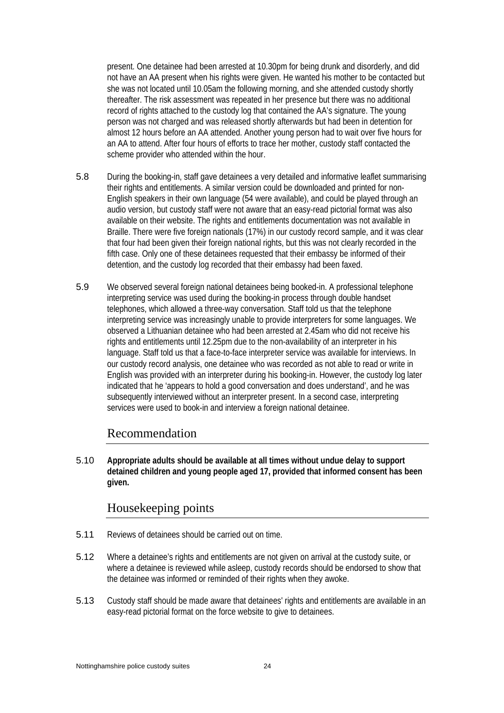present. One detainee had been arrested at 10.30pm for being drunk and disorderly, and did not have an AA present when his rights were given. He wanted his mother to be contacted but she was not located until 10.05am the following morning, and she attended custody shortly thereafter. The risk assessment was repeated in her presence but there was no additional record of rights attached to the custody log that contained the AA's signature. The young person was not charged and was released shortly afterwards but had been in detention for almost 12 hours before an AA attended. Another young person had to wait over five hours for an AA to attend. After four hours of efforts to trace her mother, custody staff contacted the scheme provider who attended within the hour.

- 5.8 During the booking-in, staff gave detainees a very detailed and informative leaflet summarising their rights and entitlements. A similar version could be downloaded and printed for non-English speakers in their own language (54 were available), and could be played through an audio version, but custody staff were not aware that an easy-read pictorial format was also available on their website. The rights and entitlements documentation was not available in Braille. There were five foreign nationals (17%) in our custody record sample, and it was clear that four had been given their foreign national rights, but this was not clearly recorded in the fifth case. Only one of these detainees requested that their embassy be informed of their detention, and the custody log recorded that their embassy had been faxed.
- 5.9 We observed several foreign national detainees being booked-in. A professional telephone interpreting service was used during the booking-in process through double handset telephones, which allowed a three-way conversation. Staff told us that the telephone interpreting service was increasingly unable to provide interpreters for some languages. We observed a Lithuanian detainee who had been arrested at 2.45am who did not receive his rights and entitlements until 12.25pm due to the non-availability of an interpreter in his language. Staff told us that a face-to-face interpreter service was available for interviews. In our custody record analysis, one detainee who was recorded as not able to read or write in English was provided with an interpreter during his booking-in. However, the custody log later indicated that he 'appears to hold a good conversation and does understand', and he was subsequently interviewed without an interpreter present. In a second case, interpreting services were used to book-in and interview a foreign national detainee.

#### Recommendation

5.10 **Appropriate adults should be available at all times without undue delay to support detained children and young people aged 17, provided that informed consent has been given.** 

### Housekeeping points

- 5.11 Reviews of detainees should be carried out on time.
- 5.12 Where a detainee's rights and entitlements are not given on arrival at the custody suite, or where a detainee is reviewed while asleep, custody records should be endorsed to show that the detainee was informed or reminded of their rights when they awoke.
- 5.13 Custody staff should be made aware that detainees' rights and entitlements are available in an easy-read pictorial format on the force website to give to detainees.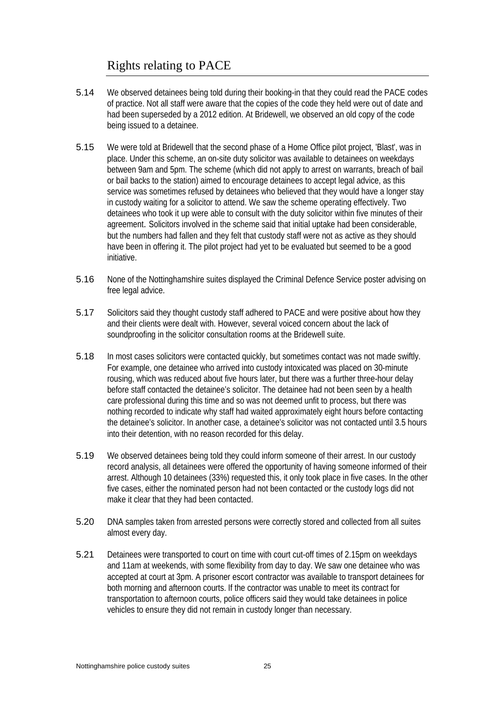## Rights relating to PACE

- 5.14 We observed detainees being told during their booking-in that they could read the PACE codes of practice. Not all staff were aware that the copies of the code they held were out of date and had been superseded by a 2012 edition. At Bridewell, we observed an old copy of the code being issued to a detainee.
- 5.15 We were told at Bridewell that the second phase of a Home Office pilot project, 'Blast', was in place. Under this scheme, an on-site duty solicitor was available to detainees on weekdays between 9am and 5pm. The scheme (which did not apply to arrest on warrants, breach of bail or bail backs to the station) aimed to encourage detainees to accept legal advice, as this service was sometimes refused by detainees who believed that they would have a longer stay in custody waiting for a solicitor to attend. We saw the scheme operating effectively. Two detainees who took it up were able to consult with the duty solicitor within five minutes of their agreement. Solicitors involved in the scheme said that initial uptake had been considerable, but the numbers had fallen and they felt that custody staff were not as active as they should have been in offering it. The pilot project had yet to be evaluated but seemed to be a good initiative.
- 5.16 None of the Nottinghamshire suites displayed the Criminal Defence Service poster advising on free legal advice.
- 5.17 Solicitors said they thought custody staff adhered to PACE and were positive about how they and their clients were dealt with. However, several voiced concern about the lack of soundproofing in the solicitor consultation rooms at the Bridewell suite.
- 5.18 In most cases solicitors were contacted quickly, but sometimes contact was not made swiftly. For example, one detainee who arrived into custody intoxicated was placed on 30-minute rousing, which was reduced about five hours later, but there was a further three-hour delay before staff contacted the detainee's solicitor. The detainee had not been seen by a health care professional during this time and so was not deemed unfit to process, but there was nothing recorded to indicate why staff had waited approximately eight hours before contacting the detainee's solicitor. In another case, a detainee's solicitor was not contacted until 3.5 hours into their detention, with no reason recorded for this delay.
- 5.19 We observed detainees being told they could inform someone of their arrest. In our custody record analysis, all detainees were offered the opportunity of having someone informed of their arrest. Although 10 detainees (33%) requested this, it only took place in five cases. In the other five cases, either the nominated person had not been contacted or the custody logs did not make it clear that they had been contacted.
- 5.20 DNA samples taken from arrested persons were correctly stored and collected from all suites almost every day.
- 5.21 Detainees were transported to court on time with court cut-off times of 2.15pm on weekdays and 11am at weekends, with some flexibility from day to day. We saw one detainee who was accepted at court at 3pm. A prisoner escort contractor was available to transport detainees for both morning and afternoon courts. If the contractor was unable to meet its contract for transportation to afternoon courts, police officers said they would take detainees in police vehicles to ensure they did not remain in custody longer than necessary.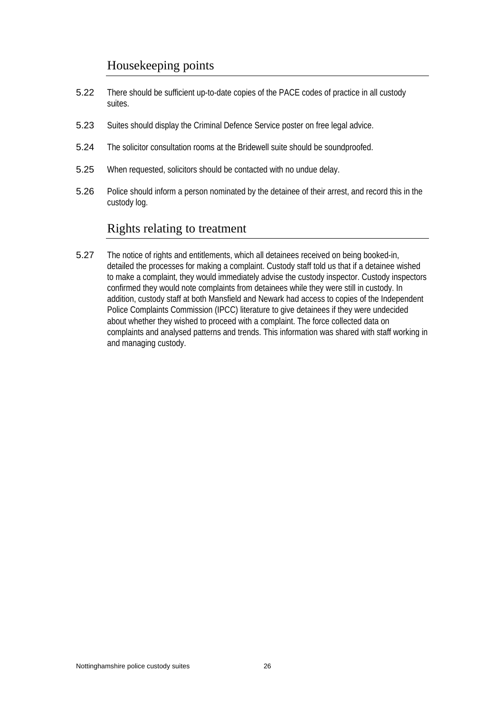## Housekeeping points

- 5.22 There should be sufficient up-to-date copies of the PACE codes of practice in all custody suites.
- 5.23 Suites should display the Criminal Defence Service poster on free legal advice.
- 5.24 The solicitor consultation rooms at the Bridewell suite should be soundproofed.
- 5.25 When requested, solicitors should be contacted with no undue delay.
- 5.26 Police should inform a person nominated by the detainee of their arrest, and record this in the custody log.

## Rights relating to treatment

5.27 The notice of rights and entitlements, which all detainees received on being booked-in, detailed the processes for making a complaint. Custody staff told us that if a detainee wished to make a complaint, they would immediately advise the custody inspector. Custody inspectors confirmed they would note complaints from detainees while they were still in custody. In addition, custody staff at both Mansfield and Newark had access to copies of the Independent Police Complaints Commission (IPCC) literature to give detainees if they were undecided about whether they wished to proceed with a complaint. The force collected data on complaints and analysed patterns and trends. This information was shared with staff working in and managing custody.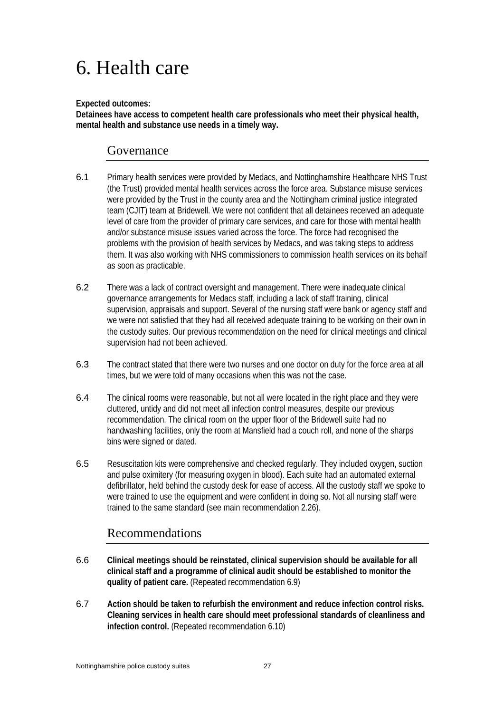## 6. Health care

#### **Expected outcomes:**

**Detainees have access to competent health care professionals who meet their physical health, mental health and substance use needs in a timely way.** 

### Governance

- 6.1 Primary health services were provided by Medacs, and Nottinghamshire Healthcare NHS Trust (the Trust) provided mental health services across the force area. Substance misuse services were provided by the Trust in the county area and the Nottingham criminal justice integrated team (CJIT) team at Bridewell. We were not confident that all detainees received an adequate level of care from the provider of primary care services, and care for those with mental health and/or substance misuse issues varied across the force. The force had recognised the problems with the provision of health services by Medacs, and was taking steps to address them. It was also working with NHS commissioners to commission health services on its behalf as soon as practicable.
- 6.2 There was a lack of contract oversight and management. There were inadequate clinical governance arrangements for Medacs staff, including a lack of staff training, clinical supervision, appraisals and support. Several of the nursing staff were bank or agency staff and we were not satisfied that they had all received adequate training to be working on their own in the custody suites. Our previous recommendation on the need for clinical meetings and clinical supervision had not been achieved.
- 6.3 The contract stated that there were two nurses and one doctor on duty for the force area at all times, but we were told of many occasions when this was not the case.
- 6.4 The clinical rooms were reasonable, but not all were located in the right place and they were cluttered, untidy and did not meet all infection control measures, despite our previous recommendation. The clinical room on the upper floor of the Bridewell suite had no handwashing facilities, only the room at Mansfield had a couch roll, and none of the sharps bins were signed or dated.
- 6.5 Resuscitation kits were comprehensive and checked regularly. They included oxygen, suction and pulse oximitery (for measuring oxygen in blood). Each suite had an automated external defibrillator, held behind the custody desk for ease of access. All the custody staff we spoke to were trained to use the equipment and were confident in doing so. Not all nursing staff were trained to the same standard (see main recommendation 2.26).

## Recommendations

- 6.6 **Clinical meetings should be reinstated, clinical supervision should be available for all clinical staff and a programme of clinical audit should be established to monitor the quality of patient care.** (Repeated recommendation 6.9)
- 6.7 **Action should be taken to refurbish the environment and reduce infection control risks. Cleaning services in health care should meet professional standards of cleanliness and infection control.** (Repeated recommendation 6.10)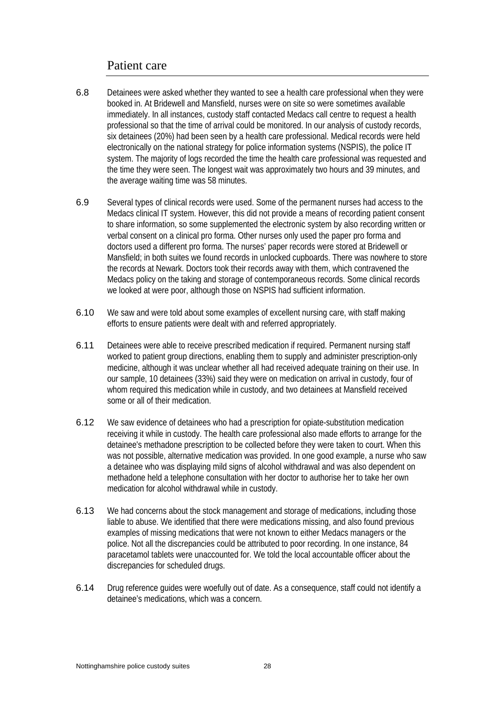### Patient care

- 6.8 Detainees were asked whether they wanted to see a health care professional when they were booked in. At Bridewell and Mansfield, nurses were on site so were sometimes available immediately. In all instances, custody staff contacted Medacs call centre to request a health professional so that the time of arrival could be monitored. In our analysis of custody records, six detainees (20%) had been seen by a health care professional. Medical records were held electronically on the national strategy for police information systems (NSPIS), the police IT system. The majority of logs recorded the time the health care professional was requested and the time they were seen. The longest wait was approximately two hours and 39 minutes, and the average waiting time was 58 minutes.
- 6.9 Several types of clinical records were used. Some of the permanent nurses had access to the Medacs clinical IT system. However, this did not provide a means of recording patient consent to share information, so some supplemented the electronic system by also recording written or verbal consent on a clinical pro forma. Other nurses only used the paper pro forma and doctors used a different pro forma. The nurses' paper records were stored at Bridewell or Mansfield; in both suites we found records in unlocked cupboards. There was nowhere to store the records at Newark. Doctors took their records away with them, which contravened the Medacs policy on the taking and storage of contemporaneous records. Some clinical records we looked at were poor, although those on NSPIS had sufficient information.
- 6.10 We saw and were told about some examples of excellent nursing care, with staff making efforts to ensure patients were dealt with and referred appropriately.
- 6.11 Detainees were able to receive prescribed medication if required. Permanent nursing staff worked to patient group directions, enabling them to supply and administer prescription-only medicine, although it was unclear whether all had received adequate training on their use. In our sample, 10 detainees (33%) said they were on medication on arrival in custody, four of whom required this medication while in custody, and two detainees at Mansfield received some or all of their medication.
- 6.12 We saw evidence of detainees who had a prescription for opiate-substitution medication receiving it while in custody. The health care professional also made efforts to arrange for the detainee's methadone prescription to be collected before they were taken to court. When this was not possible, alternative medication was provided. In one good example, a nurse who saw a detainee who was displaying mild signs of alcohol withdrawal and was also dependent on methadone held a telephone consultation with her doctor to authorise her to take her own medication for alcohol withdrawal while in custody.
- 6.13 We had concerns about the stock management and storage of medications, including those liable to abuse. We identified that there were medications missing, and also found previous examples of missing medications that were not known to either Medacs managers or the police. Not all the discrepancies could be attributed to poor recording. In one instance, 84 paracetamol tablets were unaccounted for. We told the local accountable officer about the discrepancies for scheduled drugs.
- 6.14 Drug reference guides were woefully out of date. As a consequence, staff could not identify a detainee's medications, which was a concern.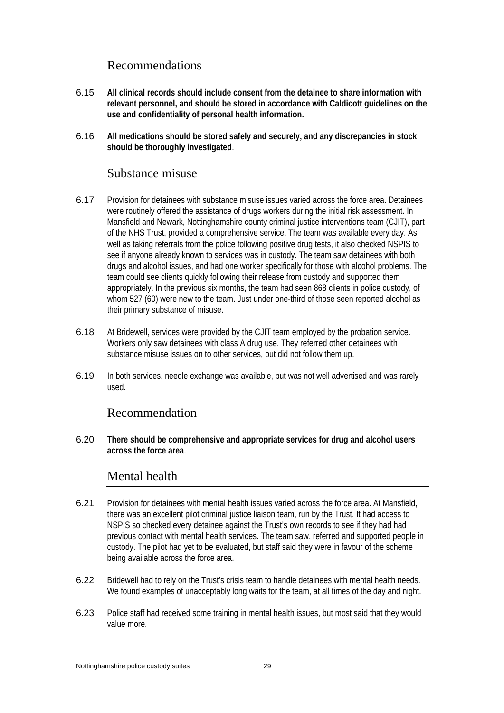## Recommendations

- 6.15 **All clinical records should include consent from the detainee to share information with relevant personnel, and should be stored in accordance with Caldicott guidelines on the use and confidentiality of personal health information.**
- 6.16 **All medications should be stored safely and securely, and any discrepancies in stock should be thoroughly investigated**.

#### Substance misuse

- 6.17 Provision for detainees with substance misuse issues varied across the force area. Detainees were routinely offered the assistance of drugs workers during the initial risk assessment. In Mansfield and Newark, Nottinghamshire county criminal justice interventions team (CJIT), part of the NHS Trust, provided a comprehensive service. The team was available every day. As well as taking referrals from the police following positive drug tests, it also checked NSPIS to see if anyone already known to services was in custody. The team saw detainees with both drugs and alcohol issues, and had one worker specifically for those with alcohol problems. The team could see clients quickly following their release from custody and supported them appropriately. In the previous six months, the team had seen 868 clients in police custody, of whom 527 (60) were new to the team. Just under one-third of those seen reported alcohol as their primary substance of misuse.
- 6.18 At Bridewell, services were provided by the CJIT team employed by the probation service. Workers only saw detainees with class A drug use. They referred other detainees with substance misuse issues on to other services, but did not follow them up.
- 6.19 In both services, needle exchange was available, but was not well advertised and was rarely used.

### Recommendation

6.20 **There should be comprehensive and appropriate services for drug and alcohol users across the force area**.

#### Mental health

- 6.21 Provision for detainees with mental health issues varied across the force area. At Mansfield, there was an excellent pilot criminal justice liaison team, run by the Trust. It had access to NSPIS so checked every detainee against the Trust's own records to see if they had had previous contact with mental health services. The team saw, referred and supported people in custody. The pilot had yet to be evaluated, but staff said they were in favour of the scheme being available across the force area.
- 6.22 Bridewell had to rely on the Trust's crisis team to handle detainees with mental health needs. We found examples of unacceptably long waits for the team, at all times of the day and night.
- 6.23 Police staff had received some training in mental health issues, but most said that they would value more.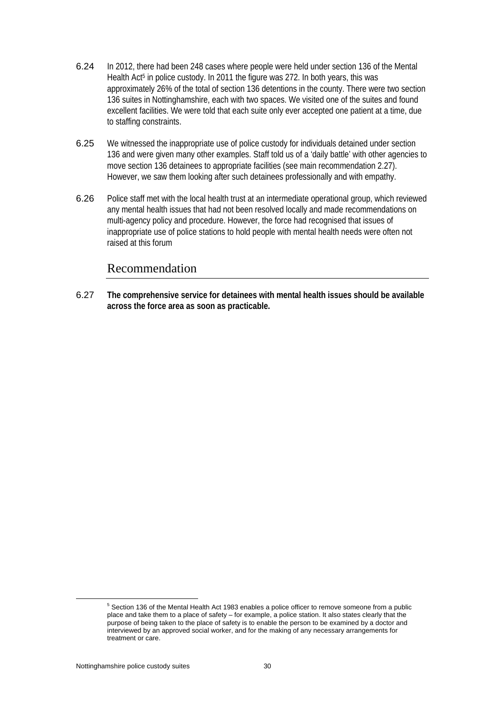- 6.24 In 2012, there had been 248 cases where people were held under section 136 of the Mental Health Act<sup>5</sup> in police custody. In 2011 the figure was 272. In both years, this was approximately 26% of the total of section 136 detentions in the county. There were two section 136 suites in Nottinghamshire, each with two spaces. We visited one of the suites and found excellent facilities. We were told that each suite only ever accepted one patient at a time, due to staffing constraints.
- 6.25 We witnessed the inappropriate use of police custody for individuals detained under section 136 and were given many other examples. Staff told us of a 'daily battle' with other agencies to move section 136 detainees to appropriate facilities (see main recommendation 2.27). However, we saw them looking after such detainees professionally and with empathy.
- 6.26 Police staff met with the local health trust at an intermediate operational group, which reviewed any mental health issues that had not been resolved locally and made recommendations on multi-agency policy and procedure. However, the force had recognised that issues of inappropriate use of police stations to hold people with mental health needs were often not raised at this forum

#### Recommendation

6.27 **The comprehensive service for detainees with mental health issues should be available across the force area as soon as practicable.** 

 $\frac{1}{5}$ <sup>5</sup> Section 136 of the Mental Health Act 1983 enables a police officer to remove someone from a public place and take them to a place of safety – for example, a police station. It also states clearly that the purpose of being taken to the place of safety is to enable the person to be examined by a doctor and interviewed by an approved social worker, and for the making of any necessary arrangements for treatment or care.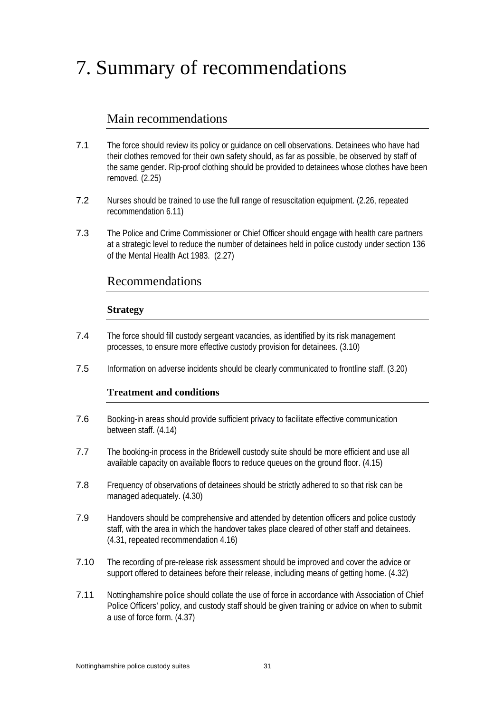## 7. Summary of recommendations

## Main recommendations

- 7.1 The force should review its policy or guidance on cell observations. Detainees who have had their clothes removed for their own safety should, as far as possible, be observed by staff of the same gender. Rip-proof clothing should be provided to detainees whose clothes have been removed. (2.25)
- 7.2 Nurses should be trained to use the full range of resuscitation equipment. (2.26, repeated recommendation 6.11)
- 7.3 The Police and Crime Commissioner or Chief Officer should engage with health care partners at a strategic level to reduce the number of detainees held in police custody under section 136 of the Mental Health Act 1983. (2.27)

## Recommendations

#### **Strategy**

- 7.4 The force should fill custody sergeant vacancies, as identified by its risk management processes, to ensure more effective custody provision for detainees. (3.10)
- 7.5 Information on adverse incidents should be clearly communicated to frontline staff. (3.20)

#### **Treatment and conditions**

- 7.6 Booking-in areas should provide sufficient privacy to facilitate effective communication between staff. (4.14)
- 7.7 The booking-in process in the Bridewell custody suite should be more efficient and use all available capacity on available floors to reduce queues on the ground floor. (4.15)
- 7.8 Frequency of observations of detainees should be strictly adhered to so that risk can be managed adequately. (4.30)
- 7.9 Handovers should be comprehensive and attended by detention officers and police custody staff, with the area in which the handover takes place cleared of other staff and detainees. (4.31, repeated recommendation 4.16)
- 7.10 The recording of pre-release risk assessment should be improved and cover the advice or support offered to detainees before their release, including means of getting home. (4.32)
- 7.11 Nottinghamshire police should collate the use of force in accordance with Association of Chief Police Officers' policy, and custody staff should be given training or advice on when to submit a use of force form. (4.37)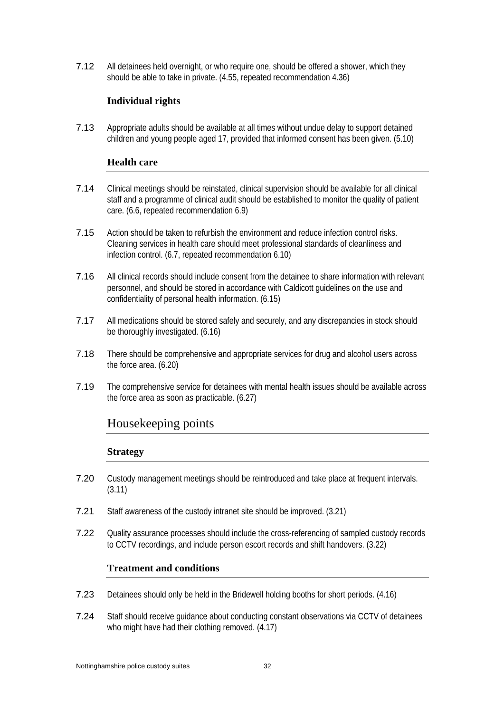7.12 All detainees held overnight, or who require one, should be offered a shower, which they should be able to take in private. (4.55, repeated recommendation 4.36)

#### **Individual rights**

7.13 Appropriate adults should be available at all times without undue delay to support detained children and young people aged 17, provided that informed consent has been given. (5.10)

#### **Health care**

- 7.14 Clinical meetings should be reinstated, clinical supervision should be available for all clinical staff and a programme of clinical audit should be established to monitor the quality of patient care. (6.6, repeated recommendation 6.9)
- 7.15 Action should be taken to refurbish the environment and reduce infection control risks. Cleaning services in health care should meet professional standards of cleanliness and infection control. (6.7, repeated recommendation 6.10)
- 7.16 All clinical records should include consent from the detainee to share information with relevant personnel, and should be stored in accordance with Caldicott guidelines on the use and confidentiality of personal health information. (6.15)
- 7.17 All medications should be stored safely and securely, and any discrepancies in stock should be thoroughly investigated. (6.16)
- 7.18 There should be comprehensive and appropriate services for drug and alcohol users across the force area. (6.20)
- 7.19 The comprehensive service for detainees with mental health issues should be available across the force area as soon as practicable. (6.27)

### Housekeeping points

#### **Strategy**

- 7.20 Custody management meetings should be reintroduced and take place at frequent intervals. (3.11)
- 7.21 Staff awareness of the custody intranet site should be improved. (3.21)
- 7.22 Quality assurance processes should include the cross-referencing of sampled custody records to CCTV recordings, and include person escort records and shift handovers. (3.22)

#### **Treatment and conditions**

- 7.23 Detainees should only be held in the Bridewell holding booths for short periods. (4.16)
- 7.24 Staff should receive guidance about conducting constant observations via CCTV of detainees who might have had their clothing removed.  $(4.17)$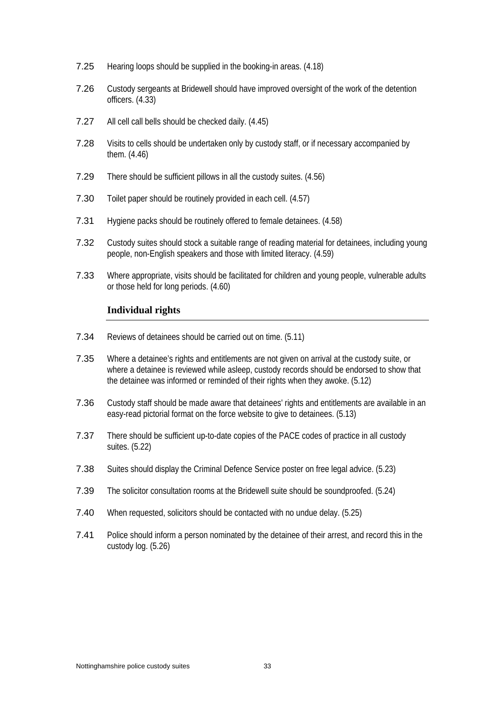- 7.25 Hearing loops should be supplied in the booking-in areas. (4.18)
- 7.26 Custody sergeants at Bridewell should have improved oversight of the work of the detention officers. (4.33)
- 7.27 All cell call bells should be checked daily. (4.45)
- 7.28 Visits to cells should be undertaken only by custody staff, or if necessary accompanied by them. (4.46)
- 7.29 There should be sufficient pillows in all the custody suites. (4.56)
- 7.30 Toilet paper should be routinely provided in each cell. (4.57)
- 7.31 Hygiene packs should be routinely offered to female detainees. (4.58)
- 7.32 Custody suites should stock a suitable range of reading material for detainees, including young people, non-English speakers and those with limited literacy. (4.59)
- 7.33 Where appropriate, visits should be facilitated for children and young people, vulnerable adults or those held for long periods. (4.60)

#### **Individual rights**

- 7.34 Reviews of detainees should be carried out on time. (5.11)
- 7.35 Where a detainee's rights and entitlements are not given on arrival at the custody suite, or where a detainee is reviewed while asleep, custody records should be endorsed to show that the detainee was informed or reminded of their rights when they awoke. (5.12)
- 7.36 Custody staff should be made aware that detainees' rights and entitlements are available in an easy-read pictorial format on the force website to give to detainees. (5.13)
- 7.37 There should be sufficient up-to-date copies of the PACE codes of practice in all custody suites. (5.22)
- 7.38 Suites should display the Criminal Defence Service poster on free legal advice. (5.23)
- 7.39 The solicitor consultation rooms at the Bridewell suite should be soundproofed. (5.24)
- 7.40 When requested, solicitors should be contacted with no undue delay. (5.25)
- 7.41 Police should inform a person nominated by the detainee of their arrest, and record this in the custody log. (5.26)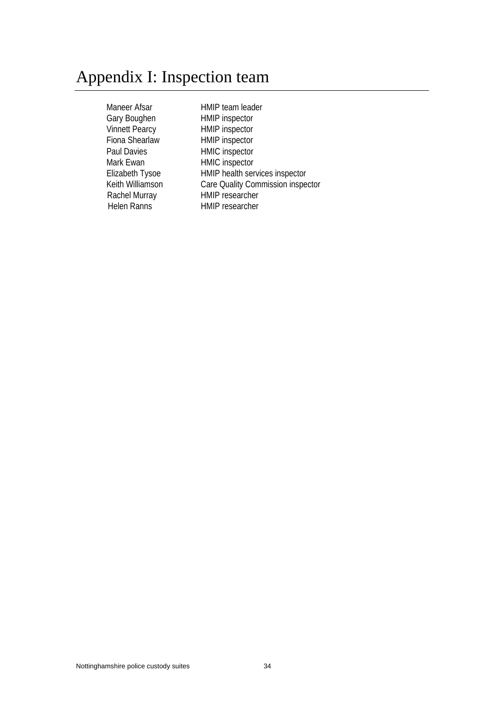## Appendix I: Inspection team

Maneer Afsar HMIP team leader Gary Boughen HMIP inspector Vinnett Pearcy HMIP inspector Fiona Shearlaw HMIP inspector Paul Davies **HMIC** inspector Mark Ewan HMIC inspector<br>Elizabeth Tysoe HMIP health ser Helen Ranns

HMIP health services inspector Keith Williamson Care Quality Commission inspector Rachel Murray HMIP researcher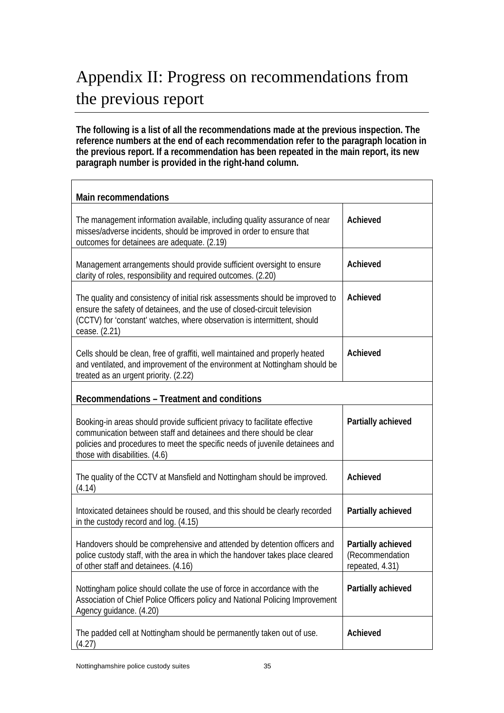## Appendix II: Progress on recommendations from the previous report

**The following is a list of all the recommendations made at the previous inspection. The reference numbers at the end of each recommendation refer to the paragraph location in the previous report. If a recommendation has been repeated in the main report, its new paragraph number is provided in the right-hand column.** 

| <b>Main recommendations</b>                                                                                                                                                                                                                                         |                                                           |  |  |  |
|---------------------------------------------------------------------------------------------------------------------------------------------------------------------------------------------------------------------------------------------------------------------|-----------------------------------------------------------|--|--|--|
| The management information available, including quality assurance of near<br>misses/adverse incidents, should be improved in order to ensure that<br>outcomes for detainees are adequate. (2.19)                                                                    | Achieved                                                  |  |  |  |
| Management arrangements should provide sufficient oversight to ensure<br>clarity of roles, responsibility and required outcomes. (2.20)                                                                                                                             | Achieved                                                  |  |  |  |
| The quality and consistency of initial risk assessments should be improved to<br>ensure the safety of detainees, and the use of closed-circuit television<br>(CCTV) for 'constant' watches, where observation is intermittent, should<br>cease. (2.21)              | Achieved                                                  |  |  |  |
| Cells should be clean, free of graffiti, well maintained and properly heated<br>and ventilated, and improvement of the environment at Nottingham should be<br>treated as an urgent priority. (2.22)                                                                 | Achieved                                                  |  |  |  |
| Recommendations - Treatment and conditions                                                                                                                                                                                                                          |                                                           |  |  |  |
| Booking-in areas should provide sufficient privacy to facilitate effective<br>communication between staff and detainees and there should be clear<br>policies and procedures to meet the specific needs of juvenile detainees and<br>those with disabilities. (4.6) | Partially achieved                                        |  |  |  |
| The quality of the CCTV at Mansfield and Nottingham should be improved.<br>(4.14)                                                                                                                                                                                   | Achieved                                                  |  |  |  |
| Intoxicated detainees should be roused, and this should be clearly recorded<br>in the custody record and log. (4.15)                                                                                                                                                | Partially achieved                                        |  |  |  |
| Handovers should be comprehensive and attended by detention officers and<br>police custody staff, with the area in which the handover takes place cleared<br>of other staff and detainees. (4.16)                                                                   | Partially achieved<br>(Recommendation)<br>repeated, 4.31) |  |  |  |
| Nottingham police should collate the use of force in accordance with the<br>Association of Chief Police Officers policy and National Policing Improvement<br>Agency guidance. (4.20)                                                                                | Partially achieved                                        |  |  |  |
| The padded cell at Nottingham should be permanently taken out of use.<br>(4.27)                                                                                                                                                                                     | Achieved                                                  |  |  |  |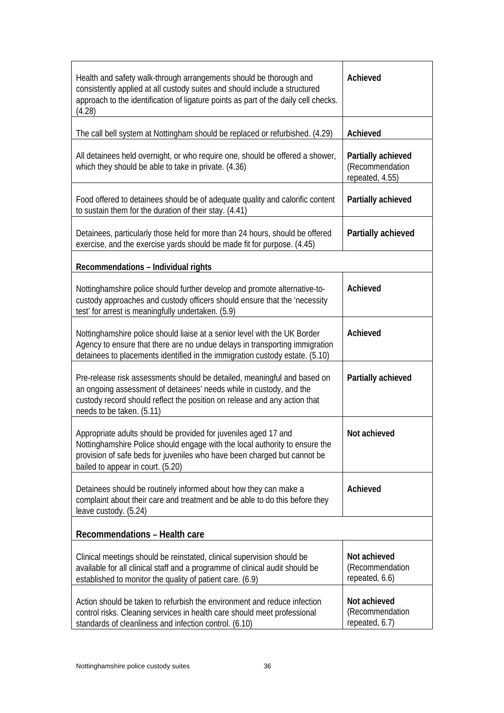| Health and safety walk-through arrangements should be thorough and<br>consistently applied at all custody suites and should include a structured<br>approach to the identification of ligature points as part of the daily cell checks.<br>(4.28)               | Achieved                                                 |
|-----------------------------------------------------------------------------------------------------------------------------------------------------------------------------------------------------------------------------------------------------------------|----------------------------------------------------------|
| The call bell system at Nottingham should be replaced or refurbished. (4.29)                                                                                                                                                                                    | Achieved                                                 |
| All detainees held overnight, or who require one, should be offered a shower,<br>which they should be able to take in private. (4.36)                                                                                                                           | Partially achieved<br>(Recommendation<br>repeated, 4.55) |
| Food offered to detainees should be of adequate quality and calorific content<br>to sustain them for the duration of their stay. (4.41)                                                                                                                         | Partially achieved                                       |
| Detainees, particularly those held for more than 24 hours, should be offered<br>exercise, and the exercise yards should be made fit for purpose. (4.45)                                                                                                         | Partially achieved                                       |
| Recommendations - Individual rights                                                                                                                                                                                                                             |                                                          |
| Nottinghamshire police should further develop and promote alternative-to-<br>custody approaches and custody officers should ensure that the 'necessity<br>test' for arrest is meaningfully undertaken. (5.9)                                                    | Achieved                                                 |
| Nottinghamshire police should liaise at a senior level with the UK Border<br>Agency to ensure that there are no undue delays in transporting immigration<br>detainees to placements identified in the immigration custody estate. (5.10)                        | Achieved                                                 |
| Pre-release risk assessments should be detailed, meaningful and based on<br>an ongoing assessment of detainees' needs while in custody, and the<br>custody record should reflect the position on release and any action that<br>needs to be taken. (5.11)       | Partially achieved                                       |
| Appropriate adults should be provided for juveniles aged 17 and<br>Nottinghamshire Police should engage with the local authority to ensure the<br>provision of safe beds for juveniles who have been charged but cannot be<br>bailed to appear in court. (5.20) | Not achieved                                             |
| Detainees should be routinely informed about how they can make a<br>complaint about their care and treatment and be able to do this before they<br>leave custody. (5.24)                                                                                        | Achieved                                                 |
| Recommendations - Health care                                                                                                                                                                                                                                   |                                                          |
| Clinical meetings should be reinstated, clinical supervision should be<br>available for all clinical staff and a programme of clinical audit should be<br>established to monitor the quality of patient care. (6.9)                                             | Not achieved<br>(Recommendation<br>repeated, 6.6)        |
| Action should be taken to refurbish the environment and reduce infection<br>control risks. Cleaning services in health care should meet professional<br>standards of cleanliness and infection control. (6.10)                                                  | Not achieved<br>(Recommendation<br>repeated, 6.7)        |